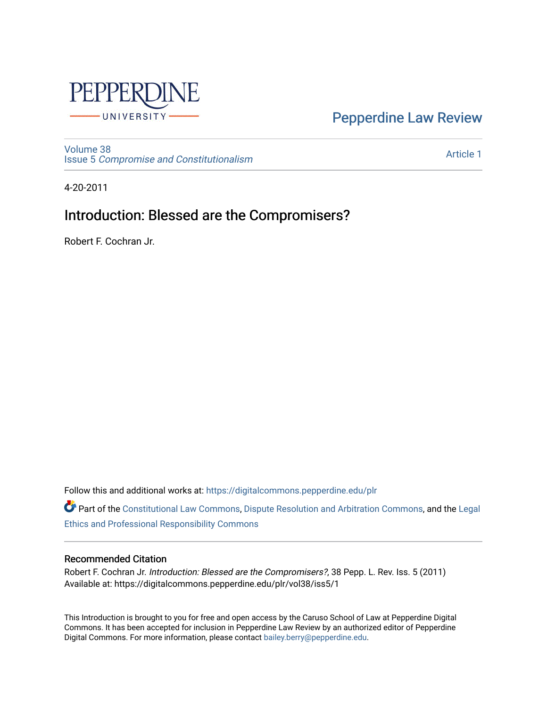

[Pepperdine Law Review](https://digitalcommons.pepperdine.edu/plr) 

[Volume 38](https://digitalcommons.pepperdine.edu/plr/vol38) Issue 5 [Compromise and Constitutionalism](https://digitalcommons.pepperdine.edu/plr/vol38/iss5) 

[Article 1](https://digitalcommons.pepperdine.edu/plr/vol38/iss5/1) 

4-20-2011

## Introduction: Blessed are the Compromisers?

Robert F. Cochran Jr.

Follow this and additional works at: [https://digitalcommons.pepperdine.edu/plr](https://digitalcommons.pepperdine.edu/plr?utm_source=digitalcommons.pepperdine.edu%2Fplr%2Fvol38%2Fiss5%2F1&utm_medium=PDF&utm_campaign=PDFCoverPages)

Part of the [Constitutional Law Commons,](http://network.bepress.com/hgg/discipline/589?utm_source=digitalcommons.pepperdine.edu%2Fplr%2Fvol38%2Fiss5%2F1&utm_medium=PDF&utm_campaign=PDFCoverPages) [Dispute Resolution and Arbitration Commons,](http://network.bepress.com/hgg/discipline/890?utm_source=digitalcommons.pepperdine.edu%2Fplr%2Fvol38%2Fiss5%2F1&utm_medium=PDF&utm_campaign=PDFCoverPages) and the [Legal](http://network.bepress.com/hgg/discipline/895?utm_source=digitalcommons.pepperdine.edu%2Fplr%2Fvol38%2Fiss5%2F1&utm_medium=PDF&utm_campaign=PDFCoverPages)  [Ethics and Professional Responsibility Commons](http://network.bepress.com/hgg/discipline/895?utm_source=digitalcommons.pepperdine.edu%2Fplr%2Fvol38%2Fiss5%2F1&utm_medium=PDF&utm_campaign=PDFCoverPages) 

## Recommended Citation

Robert F. Cochran Jr. Introduction: Blessed are the Compromisers?, 38 Pepp. L. Rev. Iss. 5 (2011) Available at: https://digitalcommons.pepperdine.edu/plr/vol38/iss5/1

This Introduction is brought to you for free and open access by the Caruso School of Law at Pepperdine Digital Commons. It has been accepted for inclusion in Pepperdine Law Review by an authorized editor of Pepperdine Digital Commons. For more information, please contact [bailey.berry@pepperdine.edu.](mailto:bailey.berry@pepperdine.edu)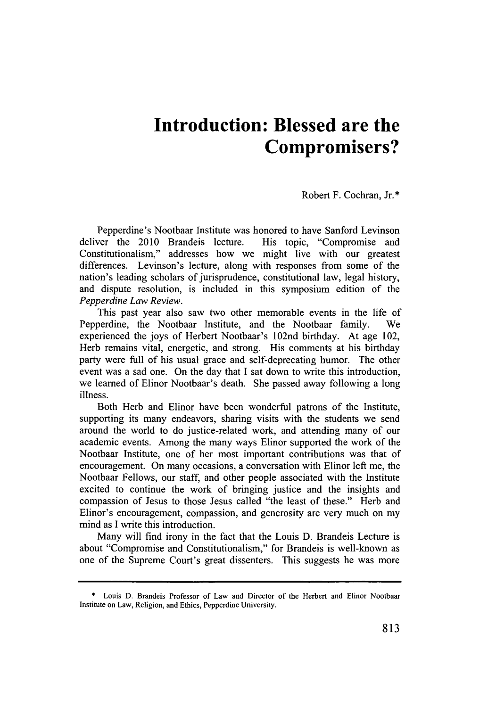## **Introduction: Blessed are the Compromisers?**

## Robert F. Cochran, Jr.\*

Pepperdine's Nootbaar Institute was honored to have Sanford Levinson deliver the 2010 Brandeis lecture. His topic, "Compromise and Constitutionalism," addresses how we might live with our greatest differences. Levinson's lecture, along with responses from some of the nation's leading scholars of jurisprudence, constitutional law, legal history, and dispute resolution, is included in this symposium edition of the *Pepperdine Law Review.*

This past year also saw two other memorable events in the life of Pepperdine, the Nootbaar Institute, and the Nootbaar family. We experienced the joys of Herbert Nootbaar's 102nd birthday. At age 102, Herb remains vital, energetic, and strong. His comments at his birthday party were full of his usual grace and self-deprecating humor. The other event was a sad one. On the day that **I** sat down to write this introduction, we learned of Elinor Nootbaar's death. She passed away following a long illness.

Both Herb and Elinor have been wonderful patrons of the Institute, supporting its many endeavors, sharing visits with the students we send around the world to do justice-related work, and attending many of our academic events. Among the many ways Elinor supported the work of the Nootbaar Institute, one of her most important contributions was that of encouragement. On many occasions, a conversation with Elinor left me, the Nootbaar Fellows, our staff, and other people associated with the Institute excited to continue the work of bringing justice and the insights and compassion of Jesus to those Jesus called "the least of these." Herb and Elinor's encouragement, compassion, and generosity are very much on my mind as I write this introduction.

Many will find irony in the fact that the Louis **D.** Brandeis Lecture is about "Compromise and Constitutionalism," for Brandeis is well-known as one of the Supreme Court's great dissenters. This suggests he was more

**<sup>\*</sup> Louis D. Brandeis Professor of Law and Director of the Herbert and Elinor Nootbaar Institute on Law, Religion, and Ethics, Pepperdine University.**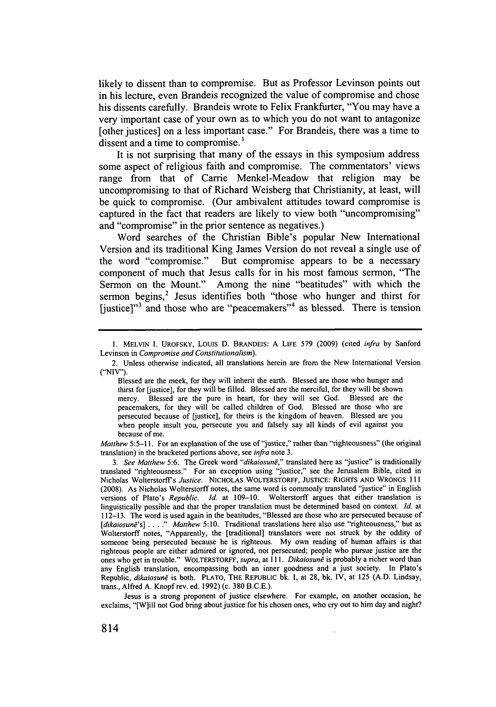likely to dissent than to compromise. But as Professor Levinson points out in his lecture, even Brandeis recognized the value of compromise and chose his dissents carefully. Brandeis wrote to Felix Frankfurter, "You may have a very important case of your own as to which you do not want to antagonize [other justices] on a less important case." For Brandeis, there was a time to dissent and a time to compromise.<sup>1</sup>

It is not surprising that many of the essays in this symposium address some aspect of religious faith and compromise. The commentators' views range from that of Carrie Menkel-Meadow that religion may be uncompromising to that of Richard Weisberg that Christianity, at least, will be quick to compromise. (Our ambivalent attitudes toward compromise is captured in the fact that readers are likely to view both "uncompromising" and "compromise" in the prior sentence as negatives.)

Word searches of the Christian Bible's popular New International Version and its traditional King James Version do not reveal a single use of the word "compromise." But compromise appears to be a necessary component of much that Jesus calls for in his most famous sermon, "The Sermon on the Mount." Among the nine "beatitudes" with which the sermon begins,<sup>2</sup> Jesus identifies both "those who hunger and thirst for [justice]"<sup>3</sup> and those who are "peacemakers"<sup>4</sup> as blessed. There is tension

*Matthew 5:5-11.* For an explanation of the use of "justice," rather than "righteousness" (the original translation) in the bracketed portions above, see *infra* note **3.**

**<sup>1.</sup> MELVIN 1.** UROFSKY, **Louis D.** BRANDEIS: **A LIFE 579 (2009)** (cited *infra* **by** Sanford Levinson in *Compromise and Constitutionalism).*

<sup>2.</sup> Unless otherwise indicated, all translations herein are from the New International Version **("NIV").**

Blessed are the meek, for they will inherit the earth. Blessed are those who hunger and thirst for [justice], for they will be filled. Blessed are the merciful, for they will be shown mercy. Blessed are the pure in heart, for they will see God. Blessed are the peacemakers, for they will be called children of God. Blessed are those who are persecuted because of [justice], for theirs is the kingdom of heaven. Blessed are you when people insult you, persecute you and falsely say all kinds of evil against you because of me.

<sup>3.</sup> See Matthew 5:6. The Greek word "dikaiosune," translated here as "justice" is traditionally translated "righteousness." For an exception using "justice," see the Jerusalem Bible, cited in Nicholas Wolterstorffs *Justice.* **NICHOLAS WOLTERSTORFF, JUSTICE: RIGHTS AND WRONGS Ill (2008).** As Nicholas Wolterstorff notes, the same word is commonly translated "justice" in English versions of Plato's *Republic. Id.* at **109-10.** Wolterstorff argues that either translation is linguistically possible and that the proper translation must be determined based on context. *Id.* at **112-13.** The word is used again in the beatitudes, "Blessed are those who are persecuted because of *[dikaiosuni's]* **.....** *Matthew 5:10.* Traditional translations here also use "righteousness," but as Wolterstorff notes, "Apparently, the [traditional] translators were not struck **by** the oddity of someone being persecuted because he is righteous. **My** own reading of human affairs is that righteous people are either admired or ignored, not persecuted; people who pursue justice are the ones who get in trouble." WOLTERSTORFF, *supra, at 111. Dikaiosund* is probably a richer word than any English translation, encompassing both an inner goodness and a just society. In Plato's Republic, *dikaiosund* is both. PLATO, **THE REPUBLIc bk. I,** at **28, bk. IV,** at **125 (A.D.** Lindsay, trans., Alfred **A.** Knopf rev. ed. **1992)** (c. **380 B.C.E.).**

Jesus is a strong proponent of justice elsewhere. For example, on another occasion, he exclaims, "[W]ill not God bring about justice for his chosen ones, who cry **out** to him day and night?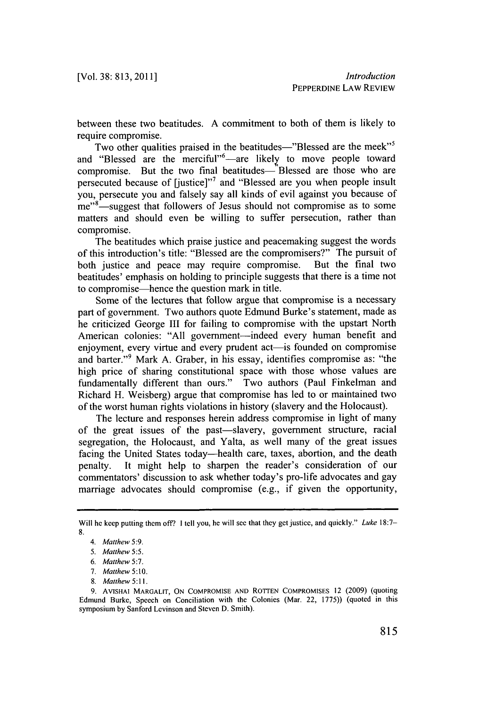between these two beatitudes. **A** commitment to both of them is likely to require compromise.

Two other qualities praised in the beatitudes-"Blessed are the meek"<sup>5</sup> and "Blessed are the merciful"<sup>6</sup>—are likely to move people toward compromise. But the two final beatitudes—"Blessed are those who are persecuted because of [justice]"' and "Blessed are you when people insult you, persecute you and falsely say all kinds of evil against you because of me"<sup>8</sup>-suggest that followers of Jesus should not compromise as to some matters and should even be willing to suffer persecution, rather than compromise.

The beatitudes which praise justice and peacemaking suggest the words of this introduction's title: "Blessed are the compromisers?" The pursuit of both justice and peace may require compromise. beatitudes' emphasis on holding to principle suggests that there is a time not to compromise-hence the question mark in title.

Some of the lectures that follow argue that compromise is a necessary part of government. Two authors quote Edmund Burke's statement, made as he criticized George **III** for failing to compromise with the upstart North American colonies: "All government-indeed every human benefit and enjoyment, every virtue and every prudent act—is founded on compromise and barter."9 Mark **A.** Graber, in his essay, identifies compromise as: "the high price of sharing constitutional space with those whose values are fundamentally different than ours." Two authors (Paul Finkelman and Richard H. Weisberg) argue that compromise has led to or maintained two of the worst human rights violations in history (slavery and the Holocaust).

The lecture and responses herein address compromise in light of many of the great issues of the past-slavery, government structure, racial segregation, the Holocaust, and Yalta, as well many of the great issues facing the United States today-health care, taxes, abortion, and the death penalty. It might **help** to sharpen the reader's consideration of our commentators' discussion to ask whether today's pro-life advocates and gay marriage advocates should compromise **(e.g.,** if given the opportunity,

Will he **keep** putting them off? **I** tell you, he will see that they get justice, and quickly." Luke **18:7- 8.**

*<sup>4.</sup> Matthew 5:9.*

*<sup>5.</sup> Matthew 5:5.*

*<sup>6.</sup> Matthew 5:7.*

*<sup>7.</sup> Matthew 5:10.*

**<sup>8.</sup>** *Matthew 5:11.*

**<sup>9.</sup> AVISHAI** MARGALIT, **ON** COMPROMISE **AND ROTTEN** COMPROMISES 12 **(2009)** (quoting Edmund Burke, Speech on Conciliation with the Colonies (Mar. 22, **1775))** (quoted in this symposium **by** Sanford Levinson and Steven **D.** Smith).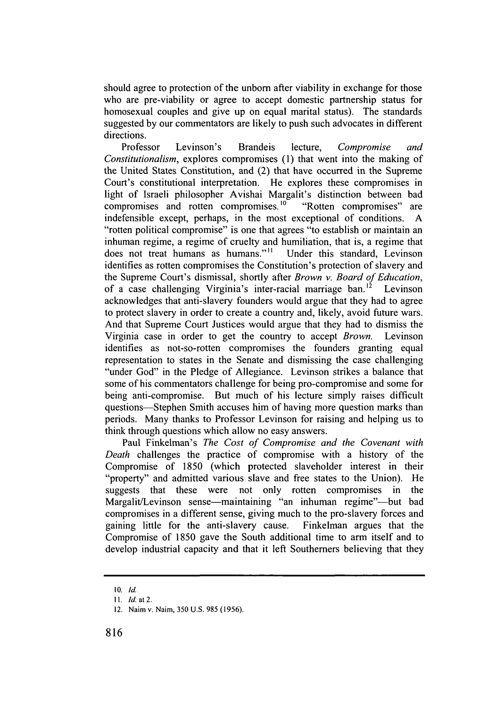should agree to protection of the unborn after viability in exchange for those who are pre-viability or agree to accept domestic partnership status for homosexual couples and give up on equal marital status). The standards suggested **by** our commentators are likely to push such advocates in different directions.

Professor Levinson's Brandeis lecture, *Compromise and Constitutionalism,* explores compromises **(1)** that went into the making of the United States Constitution, and (2) that have occurred in the Supreme Court's constitutional interpretation. He explores these compromises in light of Israeli philosopher Avishai Margalit's distinction between bad compromises and rotten compromises.<sup>10</sup> "Rotten compromises" are indefensible except, perhaps, in the most exceptional of conditions. **A** "rotten political compromise" is one that agrees "to establish or maintain an inhuman regime, a regime of cruelty and humiliation, that is, a regime that does not treat humans as humans."<sup>11</sup> Under this standard, Levinson identifies as rotten compromises the Constitution's protection of slavery and the Supreme Court's dismissal, shortly after *Brown v. Board of Education,* of a case challenging Virginia's inter-racial marriage ban.<sup>12</sup> Levinson acknowledges that anti-slavery founders would argue that they had to agree to protect slavery in order to create a country and, likely, avoid future wars. And that Supreme Court Justices would argue that they had to dismiss the Virginia case in order to get the country to accept *Brown.* Levinson identifies as not-so-rotten compromises the founders granting equal representation to states in the Senate and dismissing the case challenging "under God" in the Pledge of Allegiance. Levinson strikes a balance that some of his commentators challenge for being pro-compromise and some for being anti-compromise. But much of his lecture simply raises difficult questions-Stephen Smith accuses him of having more question marks than periods. Many thanks to Professor Levinson for raising and helping us to think through questions which allow no easy answers.

Paul Finkelman's *The Cost of Compromise and the Covenant with Death* challenges the practice of compromise with a history of the Compromise of **1850** (which protected slaveholder interest in their "property" and admitted various slave and free states to the Union). He suggests that these were not only rotten compromises in the Margalit/Levinson sense—maintaining "an inhuman regime"—but bad compromises in a different sense, giving much to the pro-slavery forces and gaining little for the anti-slavery cause. Finkelman argues that the Compromise of **1850** gave the South additional time to arm itself and to develop industrial capacity and that it left Southerners believing that they

**<sup>10.</sup> Id.**

**I1. Id.** at 2.

<sup>12.</sup> Naim v. Naim, **350 U.S. 985 (1956).**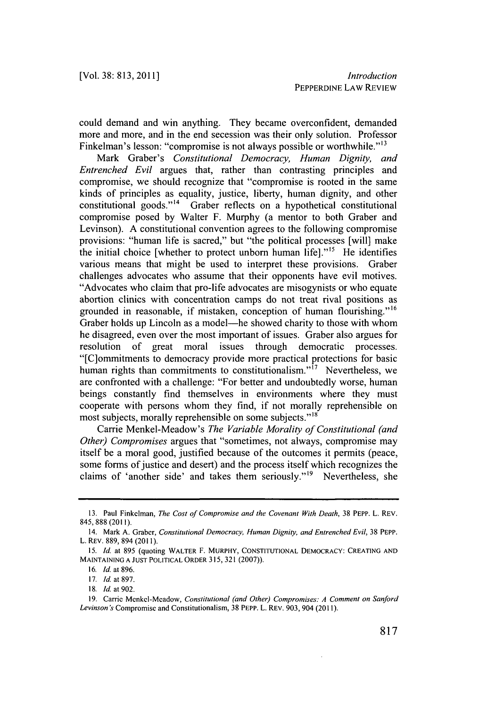could demand and win anything. They became overconfident, demanded more and more, and in the end secession was their only solution. Professor Finkelman's lesson: "compromise is not always possible or worthwhile."<sup>13</sup>

Mark Graber's *Constitutional Democracy, Human Dignity, and Entrenched Evil* argues that, rather than contrasting principles and compromise, we should recognize that "compromise is rooted in the same kinds of principles as equality, justice, liberty, human dignity, and other constitutional goods."<sup>14</sup> Graber reflects on a hypothetical constitutional compromise posed **by** Walter F. Murphy (a mentor to both Graber and Levinson). **A** constitutional convention agrees to the following compromise provisions: "human life is sacred," but "the political processes [will] make the initial choice [whether to protect unborn human life]."<sup>15</sup> He identifies various means that might be used to interpret these provisions. Graber challenges advocates who assume that their opponents have evil motives. "Advocates who claim that pro-life advocates are misogynists or who equate abortion clinics with concentration camps do not treat rival positions as grounded in reasonable, if mistaken, conception of human flourishing."<sup>16</sup> Graber holds up Lincoln as a model-he showed charity to those with whom he disagreed, even over the most important of issues. Graber also argues for resolution of great moral issues through democratic processes. "[C]ommitments to democracy provide more practical protections for basic human rights than commitments to constitutionalism."<sup>17</sup> Nevertheless, we are confronted with a challenge: "For better and undoubtedly worse, human beings constantly find themselves in environments where they must cooperate with persons whom they find, if not morally reprehensible on most subjects, morally reprehensible on some subjects."<sup>18</sup>

Carrie Menkel-Meadow's *The Variable Morality of Constitutional (and Other) Compromises* argues that "sometimes, not always, compromise may itself be a moral good, justified because of the outcomes it permits (peace, some forms of justice and desert) and the process itself which recognizes the claims of 'another side' and takes them seriously."<sup>19</sup> Nevertheless, she

**<sup>13.</sup>** Paul Finkelman, The Cost of Compromise and the Covenant With Death, **38 PEPP. L. REV.** *845,* **888** (2011).

<sup>14.</sup> Mark **A.** Graber, Constitutional Democracy, Human Dignity, and Entrenched Evil, **38** PEPP. L. REV. **889,** 894 **(2011).**

*<sup>15.</sup> Id.* at **895** (quoting WALTER F. MURPHY, **CONSTITUTIONAL** DEMOCRACY: **CREATING AND MAINTAINING A JUST** POLITICAL ORDER **315, 321 (2007)).**

**<sup>16.</sup> Id.** at **896.**

**<sup>17.</sup>** *Id.* at **897.**

**<sup>18.</sup>** *Id.* at **902.**

**<sup>19.</sup>** Carrie Menkel-Meadow, Constitutional (and Other) Compromises: **A** Comment on Sanford Levinson's Compromise and Constitutionalism, **38** PEPP. L. REv. **903,** 904 **(2011).**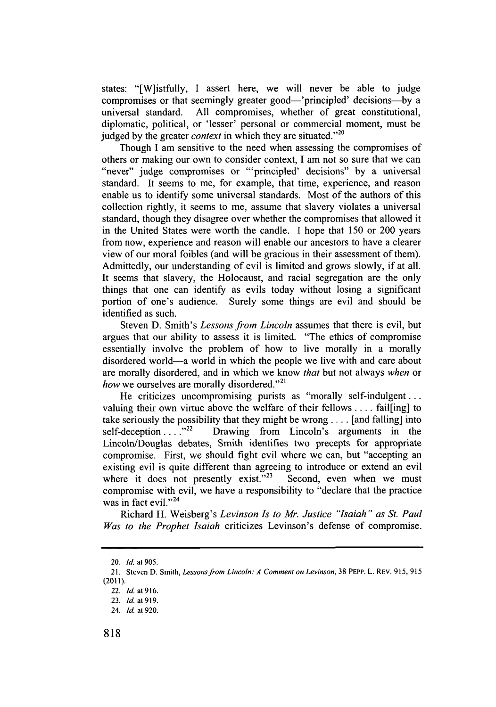states: "[W]istfully, **I** assert here, we will never be able to judge compromises or that seemingly greater good—'principled' decisions--universal standard. **All** compromises, whether of great constitutional, diplomatic, political, or 'lesser' personal or commercial moment, must be judged by the greater *context* in which they are situated."<sup>20</sup>

Though **I** am sensitive to the need when assessing the compromises of others or making our own to consider context, **I** am not so sure that we can "never" judge compromises or "'principled' decisions" **by** a universal standard. It seems to me, for example, that time, experience, and reason enable us to identify some universal standards. Most of the authors of this collection rightly, it seems to me, assume that slavery violates a universal standard, though they disagree over whether the compromises that allowed it in the United States were worth the candle. **I** hope that *150* or 200 years from now, experience and reason will enable our ancestors to have a clearer view of our moral foibles (and will be gracious in their assessment of them). Admittedly, our understanding of evil is limited and grows slowly, if at all. It seems that slavery, the Holocaust, and racial segregation are the only things that one can identify as evils today without losing a significant portion of one's audience. Surely some things are evil and should be identified as such.

Steven **D.** Smith's *Lessons from Lincoln* assumes that there is evil, but argues that our ability to assess it is limited. "The ethics of compromise essentially involve the problem of how to live morally in a morally disordered world-a world in which the people we live with and care about are morally disordered, and in which we know *that* but not always *when* or *how* we ourselves are morally disordered."<sup>21</sup>

He criticizes uncompromising purists as "morally self-indulgent **...** valuing their own virtue above the welfare of their fellows **.** . **..** fail[ing] to take seriously the possibility that they might be wrong . . . . [and falling] into self-deception . . . .<sup>222</sup> Drawing from Lincoln's arguments in the Drawing from Lincoln's arguments in the Lincoln/Douglas debates, Smith identifies two precepts for appropriate compromise. First, we should fight evil where we can, but "accepting an existing evil is quite different than agreeing to introduce or extend an evil where it does not presently exist."<sup>23</sup> Second, even when we must compromise with evil, we have a responsibility to "declare that the practice was in fact evil."<sup>24</sup>

Richard H. Weisberg's *Levinson Is to Mr. Justice "Isaiah" as St. Paul Was to the Prophet Isaiah* criticizes Levinson's defense of compromise.

**<sup>20.</sup> Id. at 905.**

**<sup>21.</sup> Steven D. Smith,** *Lessons from Lincoln: A Comment on Levinson,* **38 PEPP. L. REV. 915, 915 (2011).**

**<sup>22.</sup> Id. at 916.**

**<sup>23.</sup> Id. at 919.**

<sup>24.</sup> **Id. at 920.**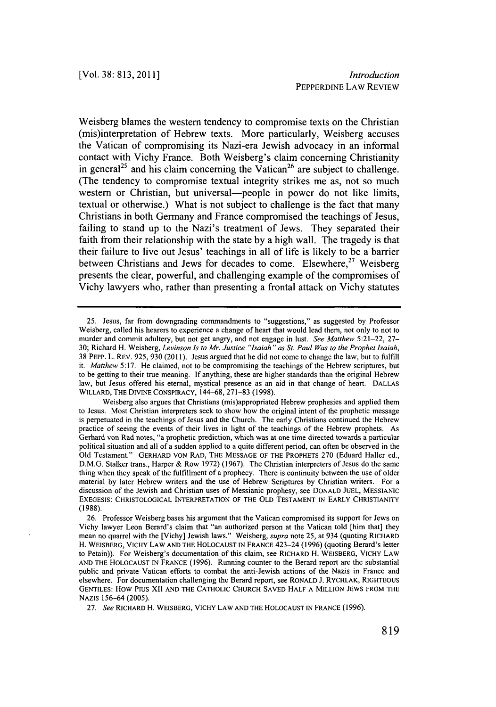Weisberg blames the western tendency to compromise texts on the Christian (mis)interpretation of Hebrew texts. More particularly, Weisberg accuses the Vatican of compromising its Nazi-era Jewish advocacy in an informal contact with Vichy France. Both Weisberg's claim concerning Christianity in general<sup>25</sup> and his claim concerning the Vatican<sup>26</sup> are subject to challenge. (The tendency to compromise textual integrity strikes me as, not so much western or Christian, but universal—people in power do not like limits, textual or otherwise.) What is not subject to challenge is the fact that many Christians in both Germany and France compromised the teachings of Jesus, failing to stand up to the Nazi's treatment of Jews. They separated their faith from their relationship with the state **by** a high wall. The tragedy is that their failure to live out Jesus' teachings in all of life is likely to be a barrier between Christians and Jews for decades to come. Elsewhere,<sup>27</sup> Weisberg presents the clear, powerful, and challenging example of the compromises of Vichy lawyers who, rather than presenting a frontal attack on Vichy statutes

*27. See* RICHARD H. WEISBERG, VICHY LAW **AND** THE **HOLOCAUST IN FRANCE (1996).**

**<sup>25.</sup>** Jesus, far from downgrading commandments to "suggestions," as suggested **by** Professor Weisberg, called his hearers to experience a change of heart that would lead them, not only to not to murder and commit adultery, but not get angry, and not engage in lust. *See Matthew* **5:21-22, 27- 30;** Richard H. Weisberg, *Levinson Is to Mr. Justice "Isaiah" as St. Paul Was to the Prophet Isaiah,* **38** PEPP. L. REV. **925, 930 (2011).** Jesus argued that he did not come to change the law, but to fulfill *it. Matthew* **5:17.** He claimed, not to **be** compromising the teachings of the Hebrew scriptures, but to be getting to their true meaning. **If** anything, these are higher standards than the original Hebrew law, but Jesus offered his eternal, mystical presence as an aid in that change of heart. **DALLAS** WILLARD, THE DIVINE CONSPIRACY, 144-68, **271-83 (1998).**

Weisberg also argues that Christians (mis)appropriated Hebrew prophesies and applied them to Jesus. Most Christian interpreters seek to show how the original intent of the prophetic message is perpetuated in the teachings of Jesus and the Church. The early Christians continued the Hebrew practice of seeing the events of their lives in light of the teachings of the Hebrew prophets. As Gerhard von Rad notes, "a prophetic prediction, which was at one time directed towards a particular political situation and all of a sudden applied to a quite different period, can often be observed in the **Old** Testament." GERHARD **VON RAD,** THE **MESSAGE** OF THE PROPHETS **270** (Eduard Haller **ed., D.M.G.** Stalker trans., Harper **&** Row **1972) (1967).** The Christian interpreters of Jesus do the same thing when they speak of the fulfillment of a prophecy. There is continuity between the use of older material **by** later Hebrew writers and the use of Hebrew Scriptures **by** Christian writers. For a discussion of the Jewish and Christian uses of Messianic prophesy, see **DONALD JUEL, MESSIANIC EXEGESIS:** CHRISTOLOGICAL INTERPRETATION OF THE OLD **TESTAMENT IN** EARLY **CHRISTIANITY (1988).**

**<sup>26.</sup>** Professor Weisberg bases his argument that the Vatican compromised its support for Jews on Vichy lawyer Leon Berard's claim that "an authorized person at the Vatican told [him that] they mean no quarrel with the [Vichy] Jewish laws." Weisberg, *supra* note **25,** at 934 (quoting RICHARD H. WEISBERG, VICHY LAW **AND** THE **HOLOCAUST IN FRANCE** 423-24 **(1996)** (quoting Berard's letter to Petain)). For Weisberg's documentation of this claim, see RICHARD H. WEISBERG, VICHY LAW **AND** THE **HOLOCAUST IN FRANCE (1996).** Running counter to the Berard report are the substantial public and private Vatican efforts to combat the anti-Jewish actions of the Nazis in France and elsewhere. For documentation challenging the Berard report, see RONALD **J.** RYCHLAK, RIGHTEOUS **GENTILES:** HOW **PIUS** XII **AND** THE **CATHOLIC CHURCH SAVED** HALF **A MILLION JEWS** FROM THE NAzIS **156-64 (2005).**